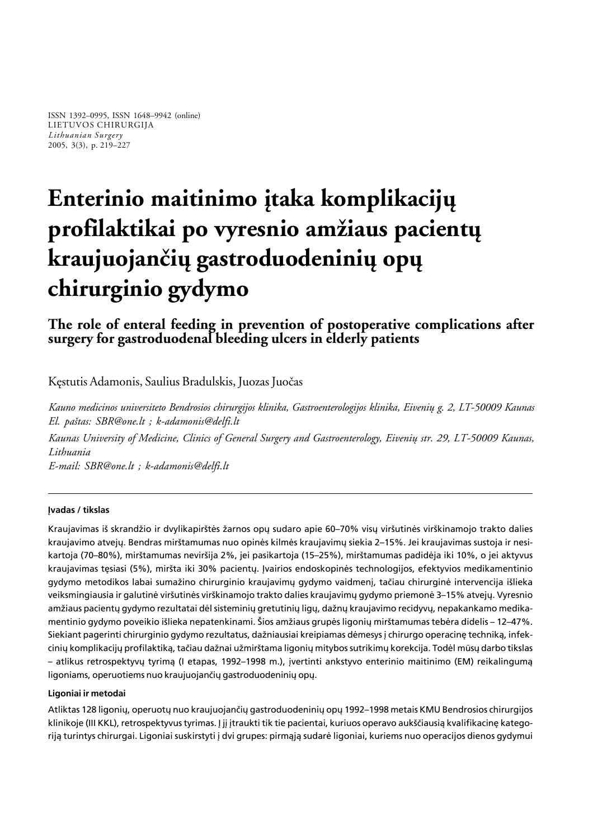ISSN 1392–0995, ISSN 1648–9942 (online) LIETUVOS CHIRURGIJA *Lithuanian Surgery* 2005, 3(3), p. 219–227

# **Enterinio maitinimo átaka komplikacijø** profilaktikai po vyresnio amžiaus pacientų **kraujuojanèiø gastroduodeniniø opø chirurginio gydymo**

**The role of enteral feeding in prevention of postoperative complications after surgery for gastroduodenal bleeding ulcers in elderly patients**

Kæstutis Adamonis, Saulius Bradulskis, Juozas Juoèas

*Kauno medicinos universiteto Bendrosios chirurgijos klinika, Gastroenterologijos klinika, Eiveniø g. 2, LT-50009 Kaunas El. paðtas: SBR@one.lt ; k-adamonis@delfi.lt Kaunas University of Medicine, Clinics of General Surgery and Gastroenterology, Eiveniø str. 29, LT-50009 Kaunas, Lithuania*

*E-mail: SBR@one.lt ; k-adamonis@delfi.lt*

## **Ávadas / tikslas**

Kraujavimas iš skrandžio ir dvylikapirštės žarnos opų sudaro apie 60–70% visų viršutinės virškinamojo trakto dalies kraujavimo atvejų. Bendras mirštamumas nuo opinės kilmės kraujavimų siekia 2–15%. Jei kraujavimas sustoja ir nesikartoja (70–80%), mirðtamumas nevirðija 2%, jei pasikartoja (15–25%), mirðtamumas padidëja iki 10%, o jei aktyvus kraujavimas tęsiasi (5%), miršta iki 30% pacientų. Įvairios endoskopinės technologijos, efektyvios medikamentinio gydymo metodikos labai sumažino chirurginio kraujavimų gydymo vaidmenį, tačiau chirurginė intervencija išlieka veiksmingiausia ir galutinė viršutinės virškinamojo trakto dalies kraujavimų gydymo priemonė 3–15% atvejų. Vyresnio amžiaus pacientų gydymo rezultatai dėl sisteminių gretutinių ligų, dažnų kraujavimo recidyvų, nepakankamo medikamentinio gydymo poveikio išlieka nepatenkinami. Šios amžiaus grupės ligonių mirštamumas tebėra didelis – 12–47%. Siekiant pagerinti chirurginio gydymo rezultatus, dažniausiai kreipiamas dėmesys į chirurgo operacinę techniką, infekcinių komplikacijų profilaktiką, tačiau dažnai užmirštama ligonių mitybos sutrikimų korekcija. Todėl mūsų darbo tikslas – atlikus retrospektyvų tyrimą (I etapas, 1992–1998 m.), įvertinti ankstyvo enterinio maitinimo (EM) reikalingumą ligoniams, operuotiems nuo kraujuojančių gastroduodeninių opų.

## **Ligoniai ir metodai**

Atliktas 128 ligonių, operuotų nuo kraujuojančių gastroduodeninių opų 1992–1998 metais KMU Bendrosios chirurgijos klinikoje (III KKL), retrospektyvus tyrimas. J ji jtraukti tik tie pacientai, kuriuos operavo aukščiausią kvalifikacinę kategoriją turintys chirurgai. Ligoniai suskirstyti į dvi grupes: pirmąją sudarė ligoniai, kuriems nuo operacijos dienos gydymui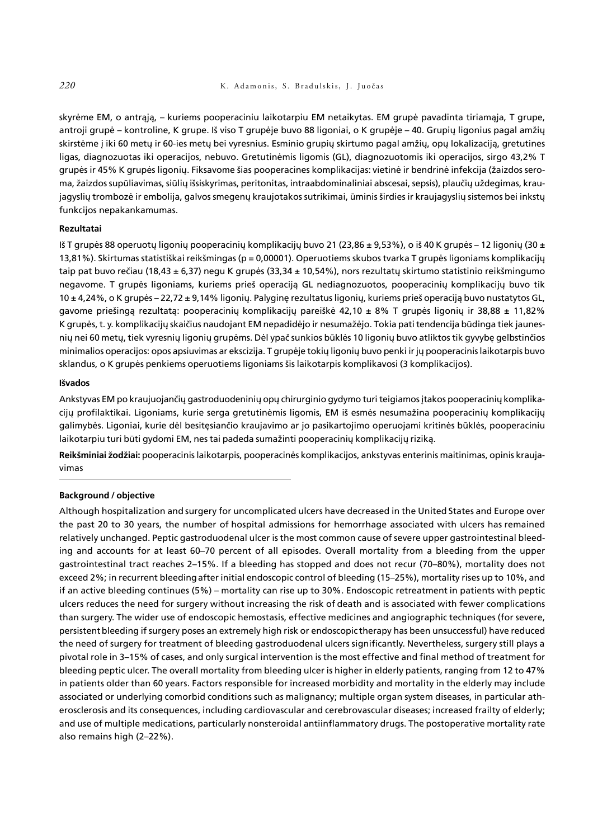skyrëme EM, o antràjà, – kuriems pooperaciniu laikotarpiu EM netaikytas. EM grupë pavadinta tiriamàja, T grupe, antroji grupė – kontroline, K grupe. Iš viso T grupėje buvo 88 ligoniai, o K grupėje – 40. Grupių ligonius pagal amžių skirstėme į iki 60 metų ir 60-ies metų bei vyresnius. Esminio grupių skirtumo pagal amžių, opų lokalizaciją, gretutines ligas, diagnozuotas iki operacijos, nebuvo. Gretutinëmis ligomis (GL), diagnozuotomis iki operacijos, sirgo 43,2% T grupės ir 45% K grupės ligonių. Fiksavome šias pooperacines komplikacijas: vietinė ir bendrinė infekcija (žaizdos seroma, žaizdos supūliavimas, siūlių išsiskyrimas, peritonitas, intraabdominaliniai abscesai, sepsis), plaučių uždegimas, kraujagyslių trombozė ir embolija, galvos smegenų kraujotakos sutrikimai, ūminis širdies ir kraujagyslių sistemos bei inkstų funkcijos nepakankamumas.

## **Rezultatai**

Iš T grupės 88 operuotų ligonių pooperacinių komplikacijų buvo 21 (23,86 ± 9,53%), o iš 40 K grupės – 12 ligonių (30 ± 13,81%). Skirtumas statistiškai reikšmingas (p = 0,00001). Operuotiems skubos tvarka T grupės ligoniams komplikacijų taip pat buvo rečiau (18,43 ± 6,37) negu K grupės (33,34 ± 10,54%), nors rezultatų skirtumo statistinio reikšmingumo negavome. T grupės ligoniams, kuriems prieš operaciją GL nediagnozuotos, pooperacinių komplikacijų buvo tik  $10 \pm 4.24$ %, o K grupės – 22,72 $\pm$  9,14% ligonių. Palyginę rezultatus ligonių, kuriems prieš operaciją buvo nustatytos GL, gavome priešinga rezultata: pooperacinių komplikacijų pareiškė 42,10 ± 8% T grupės ligonių ir 38,88 ± 11,82% K grupės, t. y. komplikacijų skaičius naudojant EM nepadidėjo ir nesumažėjo. Tokia pati tendencija būdinga tiek jaunesnių nei 60 metų, tiek vyresnių ligonių grupėms. Dėl ypač sunkios būklės 10 ligonių buvo atliktos tik gyvybę gelbstinčios minimalios operacijos: opos apsiuvimas ar ekscizija. T grupėje tokių ligonių buvo penki ir jų pooperacinis laikotarpis buvo sklandus, o K grupës penkiems operuotiems ligoniams ðis laikotarpis komplikavosi (3 komplikacijos).

## **Iðvados**

Ankstyvas EM po kraujuojančių gastroduodeninių opų chirurginio gydymo turi teigiamos įtakos pooperacinių komplikacijų profilaktikai. Ligoniams, kurie serga gretutinėmis ligomis, EM iš esmės nesumažina pooperacinių komplikacijų galimybės. Ligoniai, kurie dėl besitęsiančio kraujavimo ar jo pasikartojimo operuojami kritinės būklės, pooperaciniu laikotarpiu turi būti gydomi EM, nes tai padeda sumažinti pooperacinių komplikacijų riziką.

Reikšminiai žodžiai: pooperacinis laikotarpis, pooperacinės komplikacijos, ankstyvas enterinis maitinimas, opinis kraujavimas

## **Background / objective**

Although hospitalization and surgery for uncomplicated ulcers have decreased in the United States and Europe over the past 20 to 30 years, the number of hospital admissions for hemorrhage associated with ulcers has remained relatively unchanged. Peptic gastroduodenal ulcer is the most common cause of severe upper gastrointestinal bleeding and accounts for at least 60–70 percent of all episodes. Overall mortality from a bleeding from the upper gastrointestinal tract reaches 2–15%. If a bleeding has stopped and does not recur (70–80%), mortality does not exceed 2%; in recurrent bleedingafter initial endoscopic control of bleeding (15–25%), mortality rises up to 10%, and if an active bleeding continues (5%) – mortality can rise up to 30%. Endoscopic retreatment in patients with peptic ulcers reduces the need for surgery without increasing the risk of death and is associated with fewer complications than surgery. The wider use of endoscopic hemostasis, effective medicines and angiographic techniques (for severe, persistentbleeding if surgery poses an extremely high risk or endoscopic therapy has been unsuccessful) have reduced the need of surgery for treatment of bleeding gastroduodenal ulcers significantly. Nevertheless, surgery still plays a pivotal role in 3–15% of cases, and only surgical intervention is the most effective and final method of treatment for bleeding peptic ulcer. The overall mortality from bleeding ulcer is higher in elderly patients, ranging from 12 to 47% in patients older than 60 years. Factors responsible for increased morbidity and mortality in the elderly may include associated or underlying comorbid conditions such as malignancy; multiple organ system diseases, in particular atherosclerosis and its consequences, including cardiovascular and cerebrovascular diseases; increased frailty of elderly; and use of multiple medications, particularly nonsteroidal antiinflammatory drugs. The postoperative mortality rate also remains high (2–22%).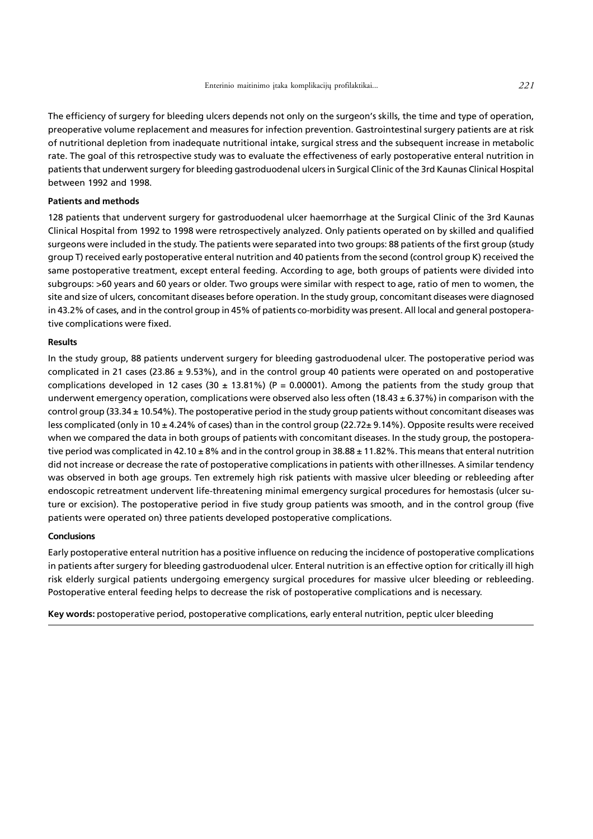The efficiency of surgery for bleeding ulcers depends not only on the surgeon's skills, the time and type of operation, preoperative volume replacement and measures for infection prevention. Gastrointestinal surgery patients are at risk of nutritional depletion from inadequate nutritional intake, surgical stress and the subsequent increase in metabolic rate. The goal of this retrospective study was to evaluate the effectiveness of early postoperative enteral nutrition in patients that underwent surgery for bleeding gastroduodenal ulcers in Surgical Clinic of the 3rd Kaunas Clinical Hospital between 1992 and 1998.

#### **Patients and methods**

128 patients that undervent surgery for gastroduodenal ulcer haemorrhage at the Surgical Clinic of the 3rd Kaunas Clinical Hospital from 1992 to 1998 were retrospectively analyzed. Only patients operated on by skilled and qualified surgeons were included in the study. The patients were separated into two groups: 88 patients of the first group (study group T) received early postoperative enteral nutrition and 40 patients from the second (control group K) received the same postoperative treatment, except enteral feeding. According to age, both groups of patients were divided into subgroups: >60 years and 60 years or older. Two groups were similar with respect to age, ratio of men to women, the site and size of ulcers, concomitant diseases before operation. In the study group, concomitant diseases were diagnosed in 43.2% of cases, and in the control group in 45% of patients co-morbidity was present. All local and general postoperative complications were fixed.

#### **Results**

In the study group, 88 patients undervent surgery for bleeding gastroduodenal ulcer. The postoperative period was complicated in 21 cases (23.86  $\pm$  9.53%), and in the control group 40 patients were operated on and postoperative complications developed in 12 cases (30  $\pm$  13.81%) (P = 0.00001). Among the patients from the study group that underwent emergency operation, complications were observed also less often (18.43  $\pm$  6.37%) in comparison with the control group (33.34 ± 10.54%). The postoperative period in the study group patients without concomitant diseases was less complicated (only in 10 ± 4.24% of cases) than in the control group (22.72± 9.14%). Opposite results were received when we compared the data in both groups of patients with concomitant diseases. In the study group, the postoperative period was complicated in 42.10  $\pm$  8% and in the control group in 38.88  $\pm$  11.82%. This means that enteral nutrition did not increase or decrease the rate of postoperative complications in patients with otherillnesses. A similar tendency was observed in both age groups. Ten extremely high risk patients with massive ulcer bleeding or rebleeding after endoscopic retreatment undervent life-threatening minimal emergency surgical procedures for hemostasis (ulcer suture or excision). The postoperative period in five study group patients was smooth, and in the control group (five patients were operated on) three patients developed postoperative complications.

#### **Conclusions**

Early postoperative enteral nutrition has a positive influence on reducing the incidence of postoperative complications in patients after surgery for bleeding gastroduodenal ulcer. Enteral nutrition is an effective option for critically ill high risk elderly surgical patients undergoing emergency surgical procedures for massive ulcer bleeding or rebleeding. Postoperative enteral feeding helps to decrease the risk of postoperative complications and is necessary.

**Key words:** postoperative period, postoperative complications, early enteral nutrition, peptic ulcer bleeding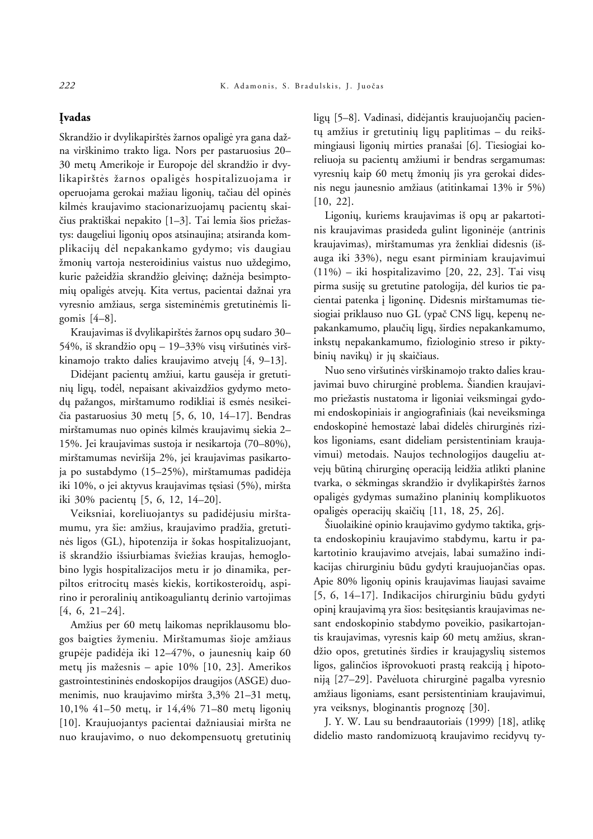# **Ávadas**

Skrandžio ir dvylikapirštės žarnos opaligė yra gana dažna virðkinimo trakto liga. Nors per pastaruosius 20– 30 metų Amerikoje ir Europoje dėl skrandžio ir dvylikapirštės žarnos opaligės hospitalizuojama ir operuojama gerokai mažiau ligonių, tačiau dėl opinės kilmės kraujavimo stacionarizuojamų pacientų skaičius praktiškai nepakito  $[1-3]$ . Tai lemia šios priežastys: daugeliui ligonių opos atsinaujina; atsiranda komplikacijø dël nepakankamo gydymo; vis daugiau žmonių vartoja nesteroidinius vaistus nuo uždegimo, kurie pažeidžia skrandžio gleivinę; dažnėja besimptomių opaligės atvejų. Kita vertus, pacientai dažnai yra vyresnio amžiaus, serga sisteminėmis gretutinėmis ligomis [4–8].

Kraujavimas iš dvylikapirštės žarnos opų sudaro 30– 54%, iš skrandžio opų – 19–33% visų viršutinės virškinamojo trakto dalies kraujavimo atvejø [4, 9–13].

Didėjant pacientų amžiui, kartu gausėja ir gretutinių ligų, todėl, nepaisant akivaizdžios gydymo metodų pažangos, mirštamumo rodikliai iš esmės nesikeièia pastaruosius 30 metø [5, 6, 10, 14–17]. Bendras mirštamumas nuo opinės kilmės kraujavimų siekia 2-15%. Jei kraujavimas sustoja ir nesikartoja (70–80%), mirðtamumas nevirðija 2%, jei kraujavimas pasikartoja po sustabdymo (15–25%), mirštamumas padidėja iki 10%, o jei aktyvus kraujavimas tæsiasi (5%), mirðta iki 30% pacientø [5, 6, 12, 14–20].

Veiksniai, koreliuojantys su padidëjusiu mirðtamumu, yra šie: amžius, kraujavimo pradžia, gretutinës ligos (GL), hipotenzija ir ðokas hospitalizuojant, iš skrandžio išsiurbiamas šviežias kraujas, hemoglobino lygis hospitalizacijos metu ir jo dinamika, perpiltos eritrocitų masės kiekis, kortikosteroidų, aspirino ir peroralinių antikoaguliantų derinio vartojimas [4, 6, 21–24].

Amžius per 60 metų laikomas nepriklausomu blogos baigties žymeniu. Mirštamumas šioje amžiaus grupėje padidėja iki 12–47%, o jaunesnių kaip 60 metų jis mažesnis – apie 10% [10, 23]. Amerikos gastrointestininës endoskopijos draugijos (ASGE) duomenimis, nuo kraujavimo miršta 3,3% 21–31 metu, 10,1% 41–50 metø, ir 14,4% 71–80 metø ligoniø [10]. Kraujuojantys pacientai dažniausiai miršta ne nuo kraujavimo, o nuo dekompensuotų gretutinių ligu [5–8]. Vadinasi, didėjantis kraujuojančių pacientų amžius ir gretutinių ligų paplitimas – du reikšmingiausi ligoniø mirties pranaðai [6]. Tiesiogiai koreliuoja su pacientų amžiumi ir bendras sergamumas: vyresnių kaip 60 metų žmonių jis yra gerokai didesnis negu jaunesnio amžiaus (atitinkamai 13% ir 5%) [10, 22].

Ligonių, kuriems kraujavimas iš opų ar pakartotinis kraujavimas prasideda gulint ligoninëje (antrinis kraujavimas), mirštamumas yra ženkliai didesnis (išauga iki 33%), negu esant pirminiam kraujavimui  $(11\%)$  – iki hospitalizavimo  $[20, 22, 23]$ . Tai visų pirma susijæ su gretutine patologija, dël kurios tie pacientai patenka á ligoninæ. Didesnis mirðtamumas tiesiogiai priklauso nuo GL (ypač CNS ligų, kepenų nepakankamumo, plaučių ligų, širdies nepakankamumo, inkstø nepakankamumo, fiziologinio streso ir piktybinių navikų) ir jų skaičiaus.

Nuo seno virðutinës virðkinamojo trakto dalies kraujavimai buvo chirurginė problema. Šiandien kraujavimo priežastis nustatoma ir ligoniai veiksmingai gydomi endoskopiniais ir angiografiniais (kai neveiksminga endoskopinë hemostazë labai didelës chirurginës rizikos ligoniams, esant dideliam persistentiniam kraujavimui) metodais. Naujos technologijos daugeliu atvejų būtiną chirurginę operaciją leidžia atlikti planine tvarka, o sėkmingas skrandžio ir dvylikapirštės žarnos opaligės gydymas sumažino planinių komplikuotos opaligës operacijø skaièiø [11, 18, 25, 26].

Šiuolaikinė opinio kraujavimo gydymo taktika, grįsta endoskopiniu kraujavimo stabdymu, kartu ir pakartotinio kraujavimo atvejais, labai sumažino indikacijas chirurginiu bûdu gydyti kraujuojanèias opas. Apie 80% ligoniø opinis kraujavimas liaujasi savaime [5, 6, 14–17]. Indikacijos chirurginiu bûdu gydyti opinį kraujavimą yra šios: besitęsiantis kraujavimas nesant endoskopinio stabdymo poveikio, pasikartojantis kraujavimas, vyresnis kaip 60 metų amžius, skrandžio opos, gretutinės širdies ir kraujagyslių sistemos ligos, galinčios išprovokuoti prastą reakciją į hipotonijà [27–29]. Pavëluota chirurginë pagalba vyresnio amžiaus ligoniams, esant persistentiniam kraujavimui, yra veiksnys, bloginantis prognozæ [30].

J. Y. W. Lau su bendraautoriais (1999) [18], atlikæ didelio masto randomizuotą kraujavimo recidyvų ty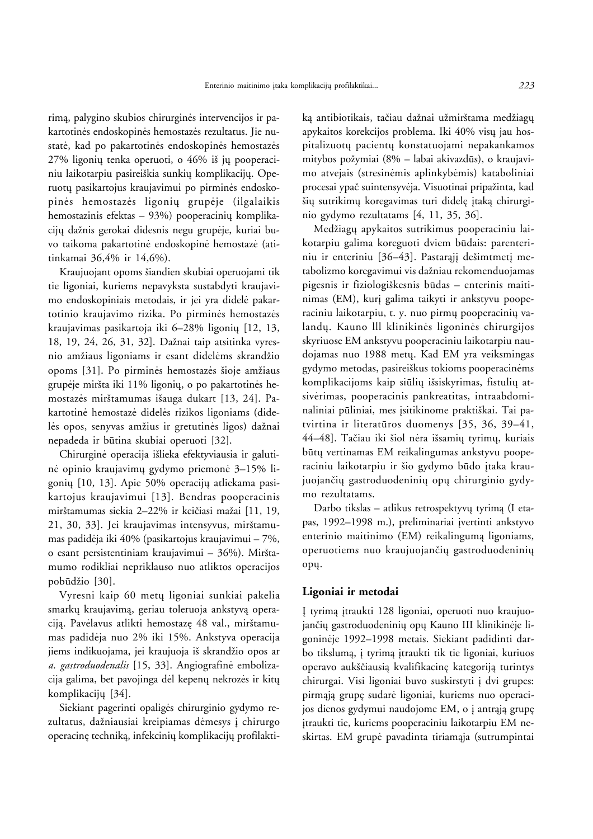rimà, palygino skubios chirurginës intervencijos ir pakartotinës endoskopinës hemostazës rezultatus. Jie nustatë, kad po pakartotinës endoskopinës hemostazës 27% ligonių tenka operuoti, o 46% iš jų pooperaciniu laikotarpiu pasireiškia sunkių komplikacijų. Operuotø pasikartojus kraujavimui po pirminës endoskopinës hemostazës ligoniø grupëje (ilgalaikis hemostazinis efektas – 93%) pooperacinių komplikacijų dažnis gerokai didesnis negu grupėje, kuriai buvo taikoma pakartotinë endoskopinë hemostazë (atitinkamai 36,4% ir 14,6%).

Kraujuojant opoms ðiandien skubiai operuojami tik tie ligoniai, kuriems nepavyksta sustabdyti kraujavimo endoskopiniais metodais, ir jei yra didelë pakartotinio kraujavimo rizika. Po pirminës hemostazës kraujavimas pasikartoja iki 6–28% ligoniø [12, 13, 18, 19, 24, 26, 31, 32]. Dažnai taip atsitinka vyresnio amžiaus ligoniams ir esant didelėms skrandžio opoms [31]. Po pirminės hemostazės šioje amžiaus grupëje mirðta iki 11% ligoniø, o po pakartotinës hemostazës mirðtamumas iðauga dukart [13, 24]. Pakartotinë hemostazë didelës rizikos ligoniams (didelės opos, senyvas amžius ir gretutinės ligos) dažnai nepadeda ir bûtina skubiai operuoti [32].

Chirurginë operacija iðlieka efektyviausia ir galutinë opinio kraujavimø gydymo priemonë 3–15% ligoniø [10, 13]. Apie 50% operacijø atliekama pasikartojus kraujavimui [13]. Bendras pooperacinis mirštamumas siekia 2–22% ir keičiasi mažai [11, 19, 21, 30, 33]. Jei kraujavimas intensyvus, mirðtamumas padidëja iki 40% (pasikartojus kraujavimui – 7%, o esant persistentiniam kraujavimui – 36%). Mirðtamumo rodikliai nepriklauso nuo atliktos operacijos pobūdžio [30].

Vyresni kaip 60 metø ligoniai sunkiai pakelia smarkų kraujavimą, geriau toleruoja ankstyvą operaciją. Pavėlavus atlikti hemostazę 48 val., mirštamumas padidëja nuo 2% iki 15%. Ankstyva operacija jiems indikuojama, jei kraujuoja iš skrandžio opos ar *a. gastroduodenalis* [15, 33]. Angiografinë embolizacija galima, bet pavojinga dël kepenø nekrozës ir kitø komplikacijø [34].

Siekiant pagerinti opaligës chirurginio gydymo rezultatus, dažniausiai kreipiamas dėmesys į chirurgo operacinæ technikà, infekciniø komplikacijø profilaktiką antibiotikais, tačiau dažnai užmirštama medžiagų apykaitos korekcijos problema. Iki 40% visų jau hospitalizuotų pacientų konstatuojami nepakankamos mitybos požymiai (8% – labai akivazdūs), o kraujavimo atvejais (stresinëmis aplinkybëmis) kataboliniai procesai ypač suintensyvėja. Visuotinai pripažinta, kad šių sutrikimų koregavimas turi didelę įtaką chirurginio gydymo rezultatams [4, 11, 35, 36].

Medžiagų apykaitos sutrikimus pooperaciniu laikotarpiu galima koreguoti dviem bûdais: parenteriniu ir enteriniu [36–43]. Pastarąjį dešimtmetį metabolizmo koregavimui vis dažniau rekomenduojamas pigesnis ir fiziologiðkesnis bûdas – enterinis maitinimas (EM), kurį galima taikyti ir ankstyvu pooperaciniu laikotarpiu, t. y. nuo pirmų pooperacinių valandų. Kauno III klinikinės ligoninės chirurgijos skyriuose EM ankstyvu pooperaciniu laikotarpiu naudojamas nuo 1988 metø. Kad EM yra veiksmingas gydymo metodas, pasireiðkus tokioms pooperacinëms komplikacijoms kaip siûliø iðsiskyrimas, fistuliø atsivërimas, pooperacinis pankreatitas, intraabdominaliniai pūliniai, mes įsitikinome praktiškai. Tai patvirtina ir literatûros duomenys [35, 36, 39–41, 44–48]. Tačiau iki šiol nėra išsamių tyrimų, kuriais bûtø vertinamas EM reikalingumas ankstyvu pooperaciniu laikotarpiu ir šio gydymo būdo įtaka kraujuojančių gastroduodeninių opų chirurginio gydymo rezultatams.

Darbo tikslas - atlikus retrospektyvų tyrimą (I etapas, 1992–1998 m.), preliminariai įvertinti ankstyvo enterinio maitinimo (EM) reikalingumà ligoniams, operuotiems nuo kraujuojanèiø gastroduodeniniø opø.

## **Ligoniai ir metodai**

Á tyrimà átraukti 128 ligoniai, operuoti nuo kraujuojančių gastroduodeninių opų Kauno III klinikinėje ligoninëje 1992–1998 metais. Siekiant padidinti darbo tikslumą, į tyrimą įtraukti tik tie ligoniai, kuriuos operavo aukðèiausià kvalifikacinæ kategorijà turintys chirurgai. Visi ligoniai buvo suskirstyti į dvi grupes: pirmàjà grupæ sudarë ligoniai, kuriems nuo operacijos dienos gydymui naudojome EM, o į antrąją grupę įtraukti tie, kuriems pooperaciniu laikotarpiu EM neskirtas. EM grupė pavadinta tiriamąja (sutrumpintai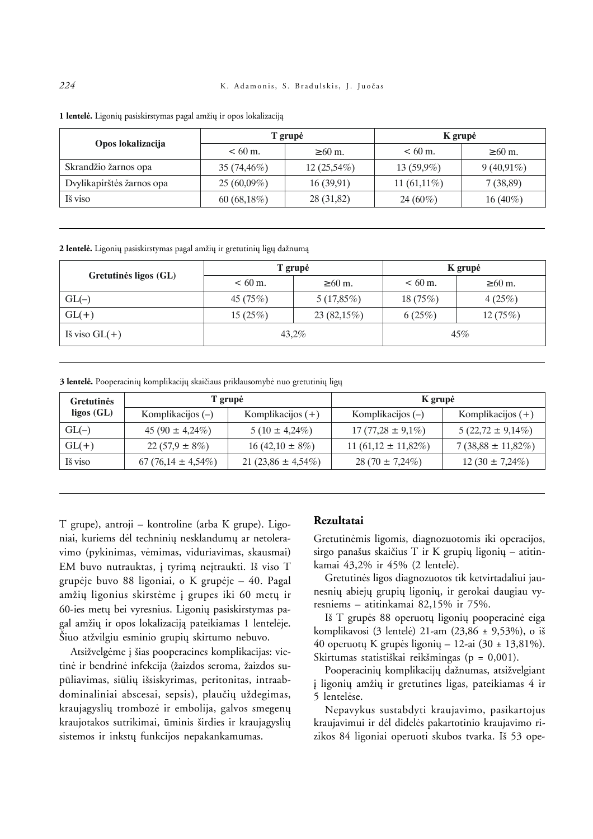## *224* K. Adamonis, S. Bradulskis, J. Juoèas

| Opos lokalizacija         | T grupė        |               | K grupė       |              |
|---------------------------|----------------|---------------|---------------|--------------|
|                           | $< 60$ m.      | $\geq 60$ m.  | $< 60$ m.     | $\geq 60$ m. |
| Skrandžio žarnos opa      | $35(74, 46\%)$ | $12(25,54\%)$ | $13(59,9\%)$  | $9(40,91\%)$ |
| Dvylikapirštės žarnos opa | $25(60,09\%)$  | 16(39,91)     | $11(61,11\%)$ | 7(38,89)     |
| Iš viso                   | $60(68,18\%)$  | 28 (31,82)    | $24(60\%)$    | $16(40\%)$   |

1 lentelė. Ligonių pasiskirstymas pagal amžių ir opos lokalizaciją

2 lentelė. Ligonių pasiskirstymas pagal amžių ir gretutinių ligų dažnumą

| Gretutinės ligos (GL) |            | T grupė       | K grupė    |              |
|-----------------------|------------|---------------|------------|--------------|
|                       | $< 60$ m.  | $\geq 60$ m.  | $< 60$ m.  | $\geq 60$ m. |
| $GL(-)$               | 45 $(75%)$ | $5(17,85\%)$  | 18 $(75%)$ | 4(25%)       |
| $GL(+)$               | 15(25%)    | $23(82,15\%)$ | 6(25%)     | 12 $(75%)$   |
| Iš viso $GL(+)$       | 43,2%      |               | 45%        |              |

3 lentelė. Pooperacinių komplikacijų skaičiaus priklausomybė nuo gretutinių ligų

| <b>Gretutinės</b> | T grupė                |                        | K grupė                 |                        |
|-------------------|------------------------|------------------------|-------------------------|------------------------|
| $ligos$ (GL)      | Komplikacijos $(-)$    | Komplikacijos $(+)$    | Komplikacijos $(-)$     | Komplikacijos $(+)$    |
| $GL(-)$           | $45(90 \pm 4,24\%)$    | $5(10 \pm 4,24\%)$     | $17(77,28 \pm 9,1\%)$   | $5(22,72 \pm 9,14\%)$  |
| $GL(+)$           | $22(57.9 \pm 8\%)$     | $16(42,10 \pm 8\%)$    | $11(61,12 \pm 11,82\%)$ | $7(38,88 \pm 11,82\%)$ |
| Iš viso           | $67(76,14 \pm 4,54\%)$ | 21 (23,86 $\pm$ 4,54%) | $28(70 \pm 7,24\%)$     | $12(30 \pm 7,24\%)$    |

T grupe), antroji – kontroline (arba K grupe). Ligoniai, kuriems dėl techninių nesklandumų ar netoleravimo (pykinimas, vëmimas, viduriavimas, skausmai) EM buvo nutrauktas, į tyrimą neįtraukti. Iš viso T grupëje buvo 88 ligoniai, o K grupëje – 40. Pagal amžių ligonius skirstėme i grupes iki 60 metų ir 60-ies metų bei vyresnius. Ligonių pasiskirstymas pagal amžių ir opos lokalizaciją pateikiamas 1 lentelėje. Šiuo atžvilgiu esminio grupių skirtumo nebuvo.

Atsižvelgėme į šias pooperacines komplikacijas: vietinė ir bendrinė infekcija (žaizdos seroma, žaizdos supūliavimas, siūlių išsiskyrimas, peritonitas, intraabdominaliniai abscesai, sepsis), plaučių uždegimas, kraujagysliø trombozë ir embolija, galvos smegenø kraujotakos sutrikimai, ûminis ðirdies ir kraujagysliø sistemos ir inkstu funkcijos nepakankamumas.

## **Rezultatai**

Gretutinëmis ligomis, diagnozuotomis iki operacijos, sirgo panašus skaičius  $T$  ir K grupių ligonių – atitinkamai 43,2% ir 45% (2 lentelë).

Gretutinës ligos diagnozuotos tik ketvirtadaliui jaunesnių abiejų grupių ligonių, ir gerokai daugiau vyresniems – atitinkamai 82,15% ir 75%.

Iš T grupės 88 operuotų ligonių pooperacinė eiga komplikavosi (3 lentelë) 21-am (23,86 ± 9,53%), o ið 40 operuotų K grupės ligonių – 12-ai (30 ± 13,81%). Skirtumas statistiðkai reikðmingas (p = 0,001).

Pooperacinių komplikacijų dažnumas, atsižvelgiant *i* ligonių amžių ir gretutines ligas, pateikiamas 4 ir 5 lentelëse.

Nepavykus sustabdyti kraujavimo, pasikartojus kraujavimui ir dël didelës pakartotinio kraujavimo rizikos 84 ligoniai operuoti skubos tvarka. Ið 53 ope-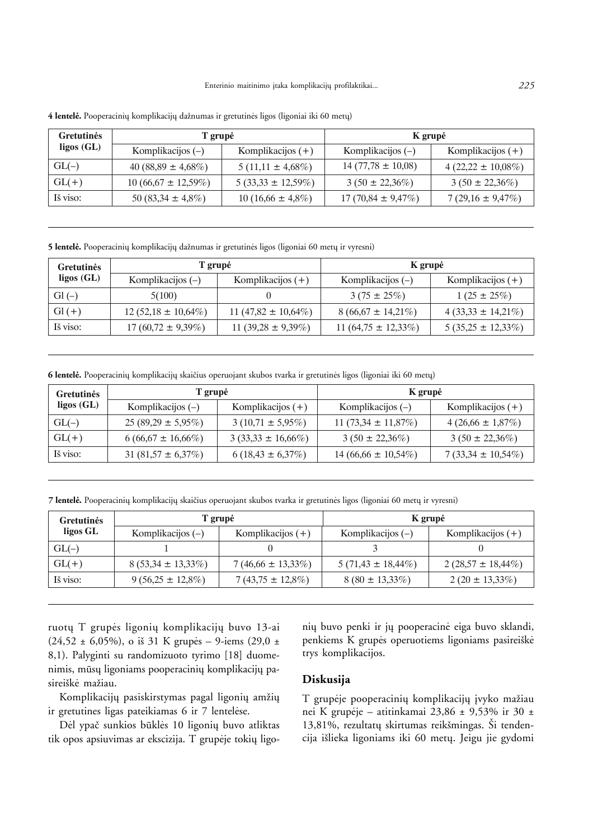| <b>Gretutinės</b><br>ligos $(GL)$ | T grupė                 |                        | K grupė                |                        |
|-----------------------------------|-------------------------|------------------------|------------------------|------------------------|
|                                   | Komplikacijos $(-)$     | Komplikacijos $(+)$    | Komplikacijos $(-)$    | Komplikacijos $(+)$    |
| $GL(-)$                           | 40 (88,89 $\pm$ 4,68%)  | $5(11,11 \pm 4,68\%)$  | $14(77,78 \pm 10,08)$  | $4(22,22 \pm 10,08\%)$ |
| $GL(+)$                           | $10(66,67 \pm 12,59\%)$ | $5(33,33 \pm 12,59\%)$ | $3(50 \pm 22,36\%)$    | $3(50 \pm 22,36\%)$    |
| Iš viso:                          | 50 $(83,34 \pm 4,8\%)$  | $10(16,66 \pm 4,8\%)$  | $17(70,84 \pm 9,47\%)$ | $7(29,16 \pm 9,47\%)$  |

4 lentelė. Pooperacinių komplikacijų dažnumas ir gretutinės ligos (ligoniai iki 60 metų)

5 lentelė. Pooperacinių komplikacijų dažnumas ir gretutinės ligos (ligoniai 60 metų ir vyresni)

| <b>Gretutinės</b><br>ligos(GL) | T grupė                 |                         | K grupė                 |                        |
|--------------------------------|-------------------------|-------------------------|-------------------------|------------------------|
|                                | Komplikacijos $(-)$     | Komplikacijos $(+)$     | Komplikacijos $(-)$     | Komplikacijos $(+)$    |
| $Gl(-)$                        | 5(100)                  |                         | $3(75 \pm 25\%)$        | $1(25 \pm 25\%)$       |
| $Gl(+)$                        | $12(52,18 \pm 10,64\%)$ | 11 (47,82 $\pm$ 10,64%) | $8(66,67 \pm 14,21\%)$  | $4(33,33 \pm 14,21\%)$ |
| Iš viso:                       | $17(60,72 \pm 9,39\%)$  | 11 (39,28 $\pm$ 9,39%)  | $11(64,75 \pm 12,33\%)$ | $5(35,25 \pm 12,33\%)$ |

6 lentelė. Pooperacinių komplikacijų skaičius operuojant skubos tvarka ir gretutinės ligos (ligoniai iki 60 metų)

| Gretutinės<br>ligos $(GL)$ | T grupė                |                         | K grupė                 |                        |
|----------------------------|------------------------|-------------------------|-------------------------|------------------------|
|                            | Komplikacijos $(-)$    | Komplikacijos $(+)$     | Komplikacijos $(-)$     | Komplikacijos $(+)$    |
| $GL(-)$                    | $25(89,29 \pm 5,95\%)$ | $3(10,71 \pm 5,95\%)$   | 11 (73,34 $\pm$ 11,87%) | $4(26,66 \pm 1,87\%)$  |
| $GL(+)$                    | $6(66,67 \pm 16,66\%)$ | $3(33,33 \pm 16,66\%)$  | $3(50 \pm 22,36\%)$     | $3(50 \pm 22,36\%)$    |
| Iš viso:                   | $31(81,57 \pm 6,37\%)$ | $6(18, 43 \pm 6, 37\%)$ | $14(66,66 \pm 10,54\%)$ | $7(33,34 \pm 10,54\%)$ |

**7 lentelë.** Pooperaciniø komplikacijø skaièius operuojant skubos tvarka ir gretutinës ligos (ligoniai 60 metø ir vyresni)

| <b>Gretutinės</b><br>ligos GL | T grupė                |                        | K grupė                |                        |
|-------------------------------|------------------------|------------------------|------------------------|------------------------|
|                               | Komplikacijos $(-)$    | Komplikacijos $(+)$    | Komplikacijos $(-)$    | Komplikacijos $(+)$    |
| $GL(-)$                       |                        |                        |                        |                        |
| $GL(+)$                       | $8(53,34 \pm 13,33\%)$ | $7(46,66 \pm 13,33\%)$ | $5(71,43 \pm 18,44\%)$ | $2(28,57 \pm 18,44\%)$ |
| Iš viso:                      | $9(56,25 \pm 12,8\%)$  | $7(43,75 \pm 12,8\%)$  | $8(80 \pm 13,33\%)$    | $2(20 \pm 13,33\%)$    |

ruotų T grupės ligonių komplikacijų buvo 13-ai  $(24,52 \pm 6,05\%)$ , o iš 31 K grupės – 9-iems  $(29,0 \pm 1)$ 8,1). Palyginti su randomizuoto tyrimo [18] duomenimis, mūsų ligoniams pooperacinių komplikacijų pasireiškė mažiau.

Komplikacijų pasiskirstymas pagal ligonių amžių ir gretutines ligas pateikiamas 6 ir 7 lentelëse.

Dël ypaè sunkios bûklës 10 ligoniø buvo atliktas tik opos apsiuvimas ar ekscizija. T grupėje tokių ligo-

niø buvo penki ir jø pooperacinë eiga buvo sklandi, penkiems K grupës operuotiems ligoniams pasireiðkë trys komplikacijos.

## **Diskusija**

T grupėje pooperacinių komplikacijų įvyko mažiau nei K grupëje – atitinkamai 23,86 ± 9,53% ir 30 ± 13,81%, rezultatu skirtumas reikšmingas. Ši tendencija išlieka ligoniams iki 60 metų. Jeigu jie gydomi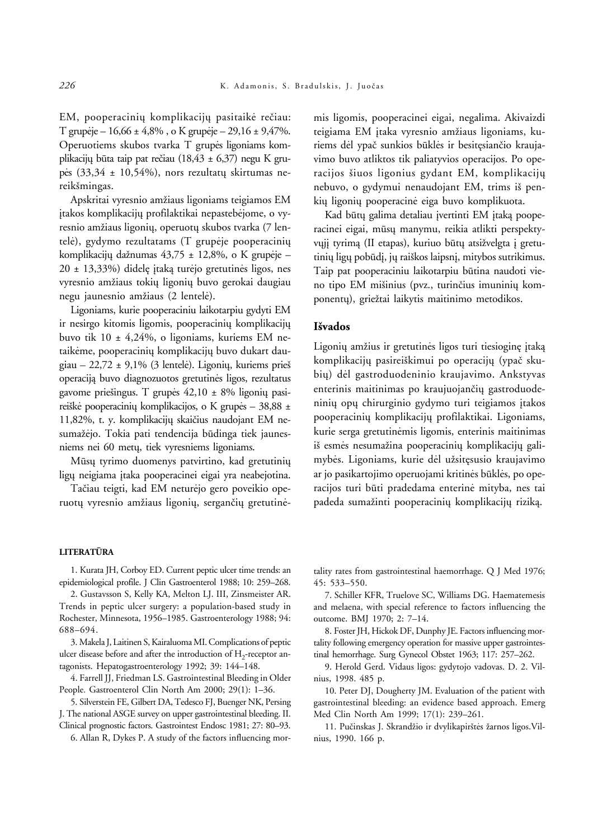EM, pooperacinių komplikacijų pasitaikė rečiau: T grupëje –  $16,66 \pm 4,8\%$ , o K grupëje – 29,16 ± 9,47%. Operuotiems skubos tvarka T grupës ligoniams komplikacijų būta taip pat rečiau  $(18, 43 \pm 6, 37)$  negu K grupės (33,34 ± 10,54%), nors rezultatų skirtumas nereikðmingas.

Apskritai vyresnio amžiaus ligoniams teigiamos EM átakos komplikacijø profilaktikai nepastebëjome, o vyresnio amžiaus ligonių, operuotų skubos tvarka (7 lentelė), gydymo rezultatams (T grupėje pooperacinių komplikacijų dažnumas  $43,75 \pm 12,8\%$ , o K grupėje –  $20 \pm 13,33\%$ ) didelę įtaką turėjo gretutinės ligos, nes vyresnio amžiaus tokių ligonių buvo gerokai daugiau negu jaunesnio amžiaus (2 lentelė).

Ligoniams, kurie pooperaciniu laikotarpiu gydyti EM ir nesirgo kitomis ligomis, pooperaciniø komplikacijø buvo tik 10 ± 4,24%, o ligoniams, kuriems EM netaikëme, pooperaciniø komplikacijø buvo dukart daugiau – 22,72 ± 9,1% (3 lentelė). Ligonių, kuriems prieš operacijà buvo diagnozuotos gretutinës ligos, rezultatus gavome priešingus. T grupės  $42,10 \pm 8\%$  ligonių pasireiškė pooperacinių komplikacijos, o K grupės – 38,88 ± 11,82%, t. y. komplikacijø skaièius naudojant EM nesumažėjo. Tokia pati tendencija būdinga tiek jaunesniems nei 60 metų, tiek vyresniems ligoniams.

Mûsø tyrimo duomenys patvirtino, kad gretutiniø ligu neigiama itaka pooperacinei eigai yra neabejotina.

Taèiau teigti, kad EM neturëjo gero poveikio operuotų vyresnio amžiaus ligonių, sergančių gretutinėmis ligomis, pooperacinei eigai, negalima. Akivaizdi teigiama EM įtaka vyresnio amžiaus ligoniams, kuriems dël ypaè sunkios bûklës ir besitæsianèio kraujavimo buvo atliktos tik paliatyvios operacijos. Po operacijos ðiuos ligonius gydant EM, komplikacijø nebuvo, o gydymui nenaudojant EM, trims ið penkiø ligoniø pooperacinë eiga buvo komplikuota.

Kad būtų galima detaliau įvertinti EM įtaką pooperacinei eigai, mûsø manymu, reikia atlikti perspektyvųjį tyrimą (II etapas), kuriuo būtų atsižvelgta į gretutinių ligų pobūdį, jų raiškos laipsnį, mitybos sutrikimus. Taip pat pooperaciniu laikotarpiu bûtina naudoti vieno tipo EM mišinius (pvz., turinčius imuninių komponentų), griežtai laikytis maitinimo metodikos.

#### **Iðvados**

Ligonių amžius ir gretutinės ligos turi tiesioginę įtaką komplikacijø pasireiðkimui po operacijø (ypaè skubiø) dël gastroduodeninio kraujavimo. Ankstyvas enterinis maitinimas po kraujuojančių gastroduodeninių opų chirurginio gydymo turi teigiamos įtakos pooperaciniø komplikacijø profilaktikai. Ligoniams, kurie serga gretutinëmis ligomis, enterinis maitinimas iš esmės nesumažina pooperacinių komplikacijų galimybės. Ligoniams, kurie dėl užsitęsusio kraujavimo ar jo pasikartojimo operuojami kritinës bûklës, po operacijos turi bûti pradedama enterinë mityba, nes tai padeda sumažinti pooperacinių komplikacijų riziką.

## **LITERATÛRA**

1. Kurata JH, Corboy ED. Current peptic ulcer time trends: an epidemiological profile. J Clin Gastroenterol 1988; 10: 259–268.

2. Gustavsson S, Kelly KA, Melton LJ. III, Zinsmeister AR. Trends in peptic ulcer surgery: a population-based study in Rochester, Minnesota, 1956–1985. Gastroenterology 1988; 94: 688–694.

3. Makela J, Laitinen S, Kairaluoma MI. Complications of peptic ulcer disease before and after the introduction of  $\rm{H}_{2}$ -receptor antagonists. Hepatogastroenterology 1992; 39: 144–148.

4. Farrell JJ, Friedman LS. Gastrointestinal Bleeding in Older People*.* Gastroenterol Clin North Am 2000; 29(1): 1–36.

5. Silverstein FE, Gilbert DA, Tedesco FJ, Buenger NK, Persing J. The national ASGE survey on upper gastrointestinal bleeding. II. Clinical prognostic factors. Gastrointest Endosc 1981; 27: 80–93.

6. Allan R, Dykes P. A study of the factors influencing mor-

tality rates from gastrointestinal haemorrhage. Q J Med 1976; 45: 533–550.

7. Schiller KFR, Truelove SC, Williams DG. Haematemesis and melaena, with special reference to factors influencing the outcome. BMJ 1970; 2: 7–14.

8. Foster JH, Hickok DF, Dunphy JE. Factors influencing mortality following emergency operation for massive upper gastrointestinal hemorrhage. Surg Gynecol Obstet 1963; 117: 257–262.

9. Herold Gerd. Vidaus ligos: gydytojo vadovas. D. 2. Vilnius, 1998. 485 p.

10. Peter DJ, Dougherty JM. Evaluation of the patient with gastrointestinal bleeding: an evidence based approach. Emerg Med Clin North Am 1999; 17(1): 239–261.

11. Pučinskas J. Skrandžio ir dvylikapirštės žarnos ligos. Vilnius, 1990. 166 p.